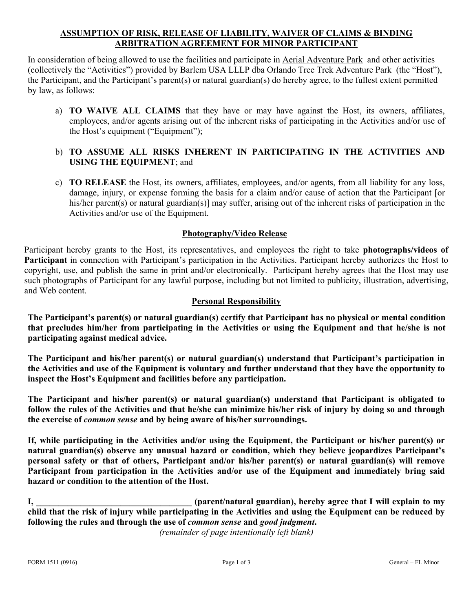# **ASSUMPTION OF RISK, RELEASE OF LIABILITY, WAIVER OF CLAIMS & BINDING ARBITRATION AGREEMENT FOR MINOR PARTICIPANT**

In consideration of being allowed to use the facilities and participate in Aerial Adventure Park and other activities (collectively the "Activities") provided by Barlem USA LLLP dba Orlando Tree Trek Adventure Park (the "Host"), the Participant, and the Participant's parent(s) or natural guardian(s) do hereby agree, to the fullest extent permitted by law, as follows:

a) **TO WAIVE ALL CLAIMS** that they have or may have against the Host, its owners, affiliates, employees, and/or agents arising out of the inherent risks of participating in the Activities and/or use of the Host's equipment ("Equipment");

## b) **TO ASSUME ALL RISKS INHERENT IN PARTICIPATING IN THE ACTIVITIES AND USING THE EQUIPMENT**; and

c) **TO RELEASE** the Host, its owners, affiliates, employees, and/or agents, from all liability for any loss, damage, injury, or expense forming the basis for a claim and/or cause of action that the Participant [or his/her parent(s) or natural guardian(s)] may suffer, arising out of the inherent risks of participation in the Activities and/or use of the Equipment.

## **Photography/Video Release**

Participant hereby grants to the Host, its representatives, and employees the right to take **photographs/videos of Participant** in connection with Participant's participation in the Activities. Participant hereby authorizes the Host to copyright, use, and publish the same in print and/or electronically. Participant hereby agrees that the Host may use such photographs of Participant for any lawful purpose, including but not limited to publicity, illustration, advertising, and Web content.

#### **Personal Responsibility**

**The Participant's parent(s) or natural guardian(s) certify that Participant has no physical or mental condition that precludes him/her from participating in the Activities or using the Equipment and that he/she is not participating against medical advice.** 

**The Participant and his/her parent(s) or natural guardian(s) understand that Participant's participation in the Activities and use of the Equipment is voluntary and further understand that they have the opportunity to inspect the Host's Equipment and facilities before any participation.** 

**The Participant and his/her parent(s) or natural guardian(s) understand that Participant is obligated to follow the rules of the Activities and that he/she can minimize his/her risk of injury by doing so and through the exercise of** *common sense* **and by being aware of his/her surroundings.** 

**If, while participating in the Activities and/or using the Equipment, the Participant or his/her parent(s) or natural guardian(s) observe any unusual hazard or condition, which they believe jeopardizes Participant's personal safety or that of others, Participant and/or his/her parent(s) or natural guardian(s) will remove Participant from participation in the Activities and/or use of the Equipment and immediately bring said hazard or condition to the attention of the Host.** 

**I, \_\_\_\_\_\_\_\_\_\_\_\_\_\_\_\_\_\_\_\_\_\_\_\_\_\_\_\_\_\_\_\_\_\_\_ (parent/natural guardian), hereby agree that I will explain to my child that the risk of injury while participating in the Activities and using the Equipment can be reduced by following the rules and through the use of** *common sense* **and** *good judgment***.** 

*(remainder of page intentionally left blank)*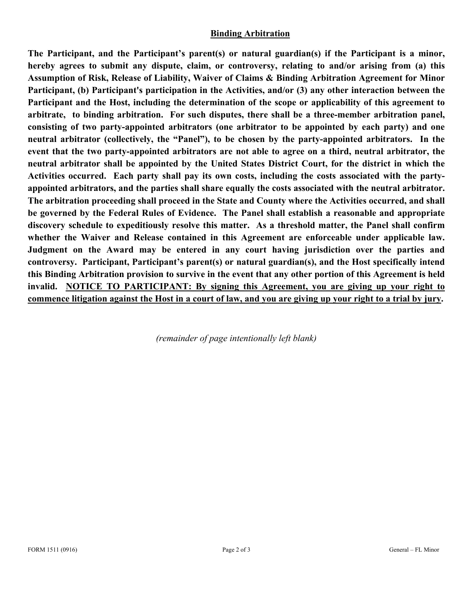# **Binding Arbitration**

**The Participant, and the Participant's parent(s) or natural guardian(s) if the Participant is a minor, hereby agrees to submit any dispute, claim, or controversy, relating to and/or arising from (a) this Assumption of Risk, Release of Liability, Waiver of Claims & Binding Arbitration Agreement for Minor Participant, (b) Participant's participation in the Activities, and/or (3) any other interaction between the Participant and the Host, including the determination of the scope or applicability of this agreement to arbitrate, to binding arbitration. For such disputes, there shall be a three-member arbitration panel, consisting of two party-appointed arbitrators (one arbitrator to be appointed by each party) and one neutral arbitrator (collectively, the "Panel"), to be chosen by the party-appointed arbitrators. In the event that the two party-appointed arbitrators are not able to agree on a third, neutral arbitrator, the neutral arbitrator shall be appointed by the United States District Court, for the district in which the Activities occurred. Each party shall pay its own costs, including the costs associated with the partyappointed arbitrators, and the parties shall share equally the costs associated with the neutral arbitrator. The arbitration proceeding shall proceed in the State and County where the Activities occurred, and shall be governed by the Federal Rules of Evidence. The Panel shall establish a reasonable and appropriate discovery schedule to expeditiously resolve this matter. As a threshold matter, the Panel shall confirm whether the Waiver and Release contained in this Agreement are enforceable under applicable law. Judgment on the Award may be entered in any court having jurisdiction over the parties and controversy. Participant, Participant's parent(s) or natural guardian(s), and the Host specifically intend this Binding Arbitration provision to survive in the event that any other portion of this Agreement is held invalid. NOTICE TO PARTICIPANT: By signing this Agreement, you are giving up your right to commence litigation against the Host in a court of law, and you are giving up your right to a trial by jury.** 

*(remainder of page intentionally left blank)*